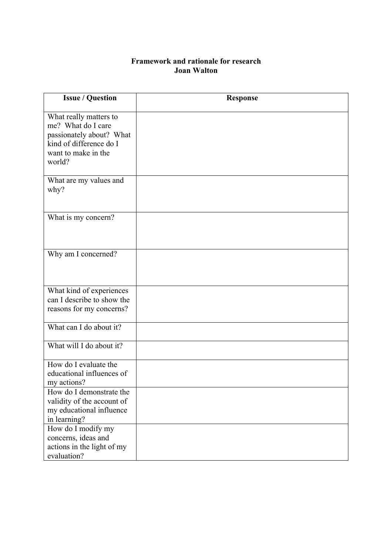## **Framework and rationale for research Joan Walton**

| <b>Issue / Question</b>                                                                                                              | <b>Response</b> |
|--------------------------------------------------------------------------------------------------------------------------------------|-----------------|
| What really matters to<br>me? What do I care<br>passionately about? What<br>kind of difference do I<br>want to make in the<br>world? |                 |
| What are my values and<br>why?                                                                                                       |                 |
| What is my concern?                                                                                                                  |                 |
| Why am I concerned?                                                                                                                  |                 |
| What kind of experiences<br>can I describe to show the<br>reasons for my concerns?                                                   |                 |
| What can I do about it?                                                                                                              |                 |
| What will I do about it?                                                                                                             |                 |
| How do I evaluate the<br>educational influences of<br>my actions?                                                                    |                 |
| How do I demonstrate the<br>validity of the account of<br>my educational influence<br>in learning?                                   |                 |
| How do I modify my<br>concerns, ideas and<br>actions in the light of my<br>evaluation?                                               |                 |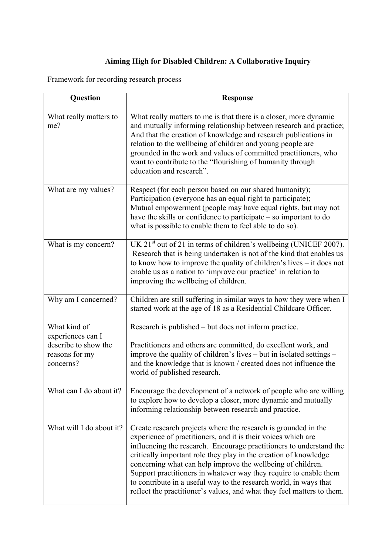## **Aiming High for Disabled Children: A Collaborative Inquiry**

Framework for recording research process

| <b>Question</b>                                                                          | <b>Response</b>                                                                                                                                                                                                                                                                                                                                                                                                                                                                                                                                               |
|------------------------------------------------------------------------------------------|---------------------------------------------------------------------------------------------------------------------------------------------------------------------------------------------------------------------------------------------------------------------------------------------------------------------------------------------------------------------------------------------------------------------------------------------------------------------------------------------------------------------------------------------------------------|
| What really matters to<br>me?                                                            | What really matters to me is that there is a closer, more dynamic<br>and mutually informing relationship between research and practice;<br>And that the creation of knowledge and research publications in<br>relation to the wellbeing of children and young people are<br>grounded in the work and values of committed practitioners, who<br>want to contribute to the "flourishing of humanity through<br>education and research".                                                                                                                         |
| What are my values?                                                                      | Respect (for each person based on our shared humanity);<br>Participation (everyone has an equal right to participate);<br>Mutual empowerment (people may have equal rights, but may not<br>have the skills or confidence to participate $-$ so important to do<br>what is possible to enable them to feel able to do so).                                                                                                                                                                                                                                     |
| What is my concern?                                                                      | UK $21st$ out of 21 in terms of children's wellbeing (UNICEF 2007).<br>Research that is being undertaken is not of the kind that enables us<br>to know how to improve the quality of children's lives – it does not<br>enable us as a nation to 'improve our practice' in relation to<br>improving the wellbeing of children.                                                                                                                                                                                                                                 |
| Why am I concerned?                                                                      | Children are still suffering in similar ways to how they were when I<br>started work at the age of 18 as a Residential Childcare Officer.                                                                                                                                                                                                                                                                                                                                                                                                                     |
| What kind of<br>experiences can I<br>describe to show the<br>reasons for my<br>concerns? | Research is published – but does not inform practice.<br>Practitioners and others are committed, do excellent work, and<br>improve the quality of children's lives – but in isolated settings –<br>and the knowledge that is known / created does not influence the<br>world of published research.                                                                                                                                                                                                                                                           |
| What can I do about it?                                                                  | Encourage the development of a network of people who are willing<br>to explore how to develop a closer, more dynamic and mutually<br>informing relationship between research and practice.                                                                                                                                                                                                                                                                                                                                                                    |
| What will I do about it?                                                                 | Create research projects where the research is grounded in the<br>experience of practitioners, and it is their voices which are<br>influencing the research. Encourage practitioners to understand the<br>critically important role they play in the creation of knowledge<br>concerning what can help improve the wellbeing of children.<br>Support practitioners in whatever way they require to enable them<br>to contribute in a useful way to the research world, in ways that<br>reflect the practitioner's values, and what they feel matters to them. |